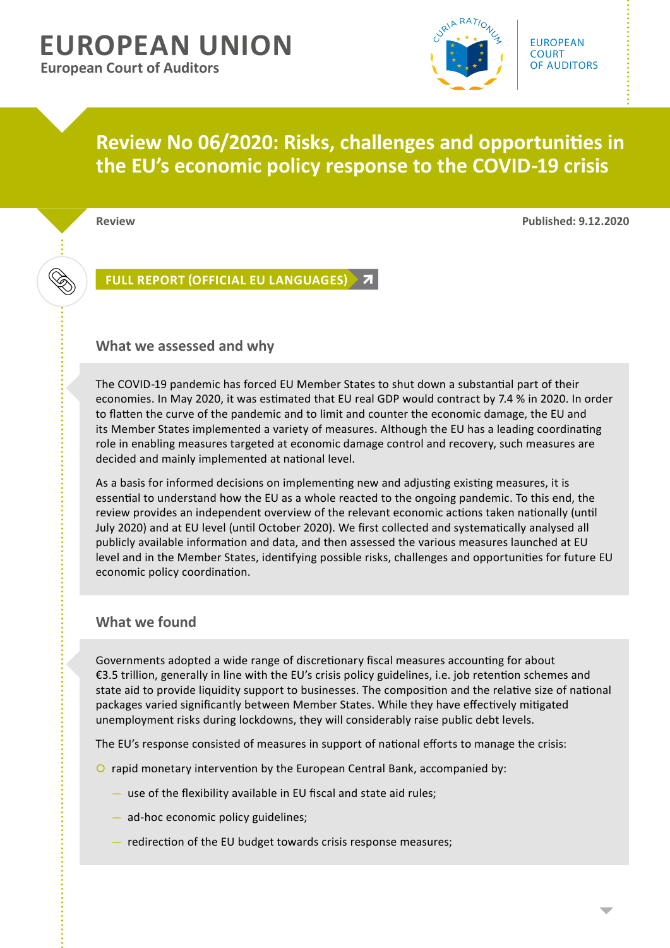# **EUROPEAN UNION European Court of Auditors**



## **Review No 06/2020: Risks, challenges and opportunities in the EU's economic policy response to the COVID-19 crisis**

**Review Published: 9.12.2020**

 $\bigotimes$ 

**[FULL REPORT \(OFFICIAL EU LANGUAGES\)](https://www.eca.europa.eu/en/Pages/DocItem.aspx?did=%7bF708071F-7886-4535-8D3B-07A9EB6B5083%7d)**

### **What we assessed and why**

The COVID-19 pandemic has forced EU Member States to shut down a substantial part of their economies. In May 2020, it was estimated that EU real GDP would contract by 7.4 % in 2020. In order to flatten the curve of the pandemic and to limit and counter the economic damage, the EU and its Member States implemented a variety of measures. Although the EU has a leading coordinating role in enabling measures targeted at economic damage control and recovery, such measures are decided and mainly implemented at national level.

As a basis for informed decisions on implementing new and adjusting existing measures, it is essential to understand how the EU as a whole reacted to the ongoing pandemic. To this end, the review provides an independent overview of the relevant economic actions taken nationally (until July 2020) and at EU level (until October 2020). We first collected and systematically analysed all publicly available information and data, and then assessed the various measures launched at EU level and in the Member States, identifying possible risks, challenges and opportunities for future EU economic policy coordination.

## **What we found**

Governments adopted a wide range of discretionary fiscal measures accounting for about €3.5 trillion, generally in line with the EU's crisis policy guidelines, i.e. job retention schemes and state aid to provide liquidity support to businesses. The composition and the relative size of national packages varied significantly between Member States. While they have effectively mitigated unemployment risks during lockdowns, they will considerably raise public debt levels.

The EU's response consisted of measures in support of national efforts to manage the crisis:

- O rapid monetary intervention by the European Central Bank, accompanied by:
	- use of the flexibility available in EU fiscal and state aid rules;
	- ad-hoc economic policy guidelines;
	- redirection of the EU budget towards crisis response measures;